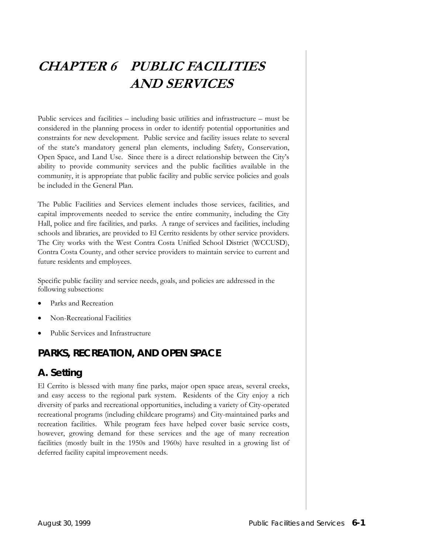# **CHAPTER 6 PUBLIC FACILITIES AND SERVICES**

Public services and facilities – including basic utilities and infrastructure – must be considered in the planning process in order to identify potential opportunities and constraints for new development. Public service and facility issues relate to several of the state's mandatory general plan elements, including Safety, Conservation, Open Space, and Land Use. Since there is a direct relationship between the City's ability to provide community services and the public facilities available in the community, it is appropriate that public facility and public service policies and goals be included in the General Plan.

The Public Facilities and Services element includes those services, facilities, and capital improvements needed to service the entire community, including the City Hall, police and fire facilities, and parks. A range of services and facilities, including schools and libraries, are provided to El Cerrito residents by other service providers. The City works with the West Contra Costa Unified School District (WCCUSD), Contra Costa County, and other service providers to maintain service to current and future residents and employees.

Specific public facility and service needs, goals, and policies are addressed in the following subsections:

- Parks and Recreation
- Non-Recreational Facilities
- Public Services and Infrastructure

## **PARKS, RECREATION, AND OPEN SPACE**

### **A. Setting**

El Cerrito is blessed with many fine parks, major open space areas, several creeks, and easy access to the regional park system. Residents of the City enjoy a rich diversity of parks and recreational opportunities, including a variety of City-operated recreational programs (including childcare programs) and City-maintained parks and recreation facilities. While program fees have helped cover basic service costs, however, growing demand for these services and the age of many recreation facilities (mostly built in the 1950s and 1960s) have resulted in a growing list of deferred facility capital improvement needs.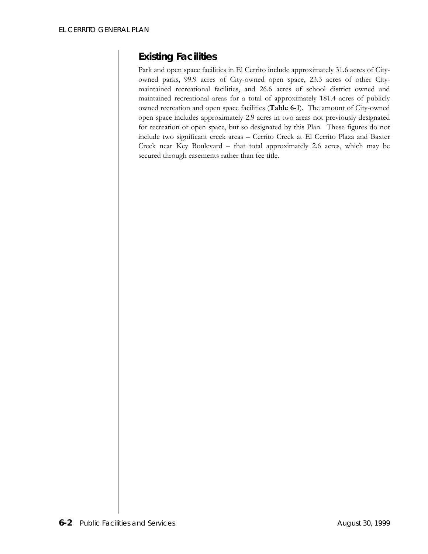### *Existing Facilities*

Park and open space facilities in El Cerrito include approximately 31.6 acres of Cityowned parks, 99.9 acres of City-owned open space, 23.3 acres of other Citymaintained recreational facilities, and 26.6 acres of school district owned and maintained recreational areas for a total of approximately 181.4 acres of publicly owned recreation and open space facilities (**Table 6-1**). The amount of City-owned open space includes approximately 2.9 acres in two areas not previously designated for recreation or open space, but so designated by this Plan. These figures do not include two significant creek areas – Cerrito Creek at El Cerrito Plaza and Baxter Creek near Key Boulevard – that total approximately 2.6 acres, which may be secured through easements rather than fee title.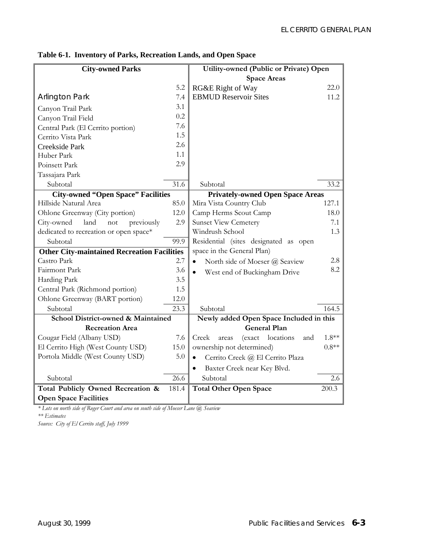| <b>City-owned Parks</b>                            |       | Utility-owned (Public or Private) Open        |         |
|----------------------------------------------------|-------|-----------------------------------------------|---------|
|                                                    |       | <b>Space Areas</b>                            |         |
|                                                    | 5.2   | RG&E Right of Way                             | 22.0    |
| <b>Arlington Park</b>                              | 7.4   | <b>EBMUD Reservoir Sites</b>                  | 11.2    |
| Canyon Trail Park                                  | 3.1   |                                               |         |
| Canyon Trail Field                                 | 0.2   |                                               |         |
| Central Park (El Cerrito portion)                  | 7.6   |                                               |         |
| Cerrito Vista Park                                 | 1.5   |                                               |         |
| Creekside Park                                     | 2.6   |                                               |         |
| Huber Park                                         | 1.1   |                                               |         |
| Poinsett Park                                      | 2.9   |                                               |         |
| Tassajara Park                                     |       |                                               |         |
| Subtotal                                           | 31.6  | Subtotal                                      | 33.2    |
| <b>City-owned "Open Space" Facilities</b>          |       | <b>Privately-owned Open Space Areas</b>       |         |
| Hillside Natural Area                              | 85.0  | Mira Vista Country Club                       | 127.1   |
| Ohlone Greenway (City portion)                     | 12.0  | Camp Herms Scout Camp                         | 18.0    |
| land<br>City-owned<br>previously<br>not            | 2.9   | <b>Sunset View Cemetery</b>                   | 7.1     |
| dedicated to recreation or open space*             |       | Windrush School                               | 1.3     |
| Subtotal                                           | 99.9  | Residential (sites designated as open         |         |
| <b>Other City-maintained Recreation Facilities</b> |       | space in the General Plan)                    |         |
| Castro Park                                        | 2.7   | North side of Moeser @ Seaview<br>$\bullet$   | 2.8     |
| Fairmont Park                                      | 3.6   | West end of Buckingham Drive<br>$\bullet$     | 8.2     |
| Harding Park                                       | 3.5   |                                               |         |
| Central Park (Richmond portion)                    | 1.5   |                                               |         |
| Ohlone Greenway (BART portion)                     | 12.0  |                                               |         |
| Subtotal                                           | 23.3  | Subtotal                                      | 164.5   |
| School District-owned & Maintained                 |       | Newly added Open Space Included in this       |         |
| <b>Recreation Area</b>                             |       | <b>General Plan</b>                           |         |
| Cougar Field (Albany USD)                          | 7.6   | locations<br>Creek<br>areas<br>(exact<br>and  | $1.8**$ |
| El Cerrito High (West County USD)                  | 15.0  | ownership not determined)                     | $0.8**$ |
| Portola Middle (West County USD)                   | 5.0   | Cerrito Creek @ El Cerrito Plaza<br>$\bullet$ |         |
|                                                    |       | Baxter Creek near Key Blvd.<br>$\bullet$      |         |
| Subtotal                                           | 26.6  | Subtotal                                      | 2.6     |
| Total Publicly Owned Recreation &                  | 181.4 | <b>Total Other Open Space</b>                 | 200.3   |
| <b>Open Space Facilities</b>                       |       |                                               |         |

### **Table 6-1. Inventory of Parks, Recreation Lands, and Open Space**

*\* Lots on north side of Roger Court and area on south side of Moeser Lane @ Seaview \*\* Estimates* 

*Source: City of El Cerrito staff, July 1999*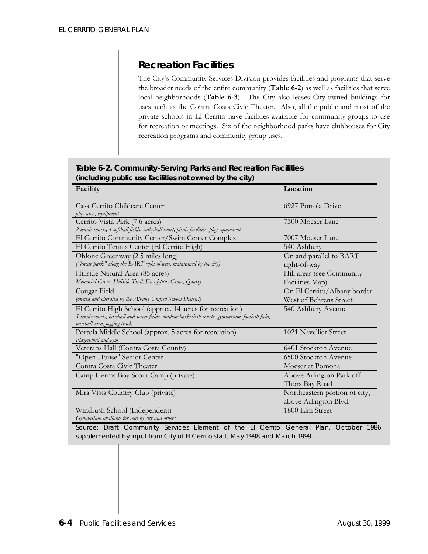# *Recreation Facilities*

The City's Community Services Division provides facilities and programs that serve the broader needs of the entire community (**Table 6-2**) as well as facilities that serve local neighborhoods (**Table 6-3**). The City also leases City-owned buildings for uses such as the Contra Costa Civic Theater. Also, all the public and most of the private schools in El Cerrito have facilities available for community groups to use for recreation or meetings. Six of the neighborhood parks have clubhouses for City recreation programs and community group uses.

| (including public use facilities not owned by the city)                                            |                               |  |
|----------------------------------------------------------------------------------------------------|-------------------------------|--|
| Facility                                                                                           | Location                      |  |
| Casa Cerrito Childcare Center                                                                      | 6927 Portola Drive            |  |
| play area, equipment                                                                               |                               |  |
| Cerrito Vista Park (7.6 acres)                                                                     | 7300 Moeser Lane              |  |
| 2 tennis courts, 4 softball fields, volleyball court, picnic facilities, play equipment            |                               |  |
| El Cernto Community Center/Swim Center Complex                                                     | 7007 Moeser Lane              |  |
| El Cerrito Tennis Center (El Cerrito High)                                                         | 540 Ashbury                   |  |
| Ohlone Greenway (2.5 miles long)                                                                   | On and parallel to BART       |  |
| ("linear park" along the BART right-of-way, maintained by the city)                                | right-of-way                  |  |
| Hillside Natural Area (85 acres)                                                                   | Hill areas (see Community     |  |
| Memorial Grove, Hillside Trail, Eucalyptus Grove, Quarry                                           | Facilities Map)               |  |
| Cougar Field                                                                                       | On El Cerrito/Albany border   |  |
| (owned and operated by the Albany Unified School District)                                         | West of Behrens Street        |  |
| El Cerrito High School (approx. 14 acres for recreation)                                           | 540 Ashbury Avenue            |  |
| 5 tennis courts, baseball and soccer fields, outdoor basketball courts, gymnasium, football field, |                               |  |
| baseball area, jogging track                                                                       |                               |  |
| Portola Middle School (approx. 5 acres for recreation)                                             | 1021 Navellier Street         |  |
| Playground and gym                                                                                 |                               |  |
| Veterans Hall (Contra Costa County)                                                                | 6401 Stockton Avenue          |  |
| "Open House" Senior Center                                                                         | 6500 Stockton Avenue          |  |
| Contra Costa Civic Theater                                                                         | Moeser at Pomona              |  |
| Camp Herms Boy Scout Camp (private)                                                                | Above Arlington Park off      |  |
|                                                                                                    | Thors Bay Road                |  |
| Mira Vista Country Club (private)                                                                  | Northeastern portion of city, |  |
|                                                                                                    | above Arlington Blvd.         |  |
| Windrush School (Independent)                                                                      | 1800 Elm Street               |  |
| Gymnasium available for rent by city and others                                                    |                               |  |

# **Table 6-2. Community-Serving Parks and Recreation Facilities**

*Source: Draft Community Services Element of the El Cerrito General Plan, October 1986; supplemented by input from City of El Cerrito staff, May 1998 and March 1999.*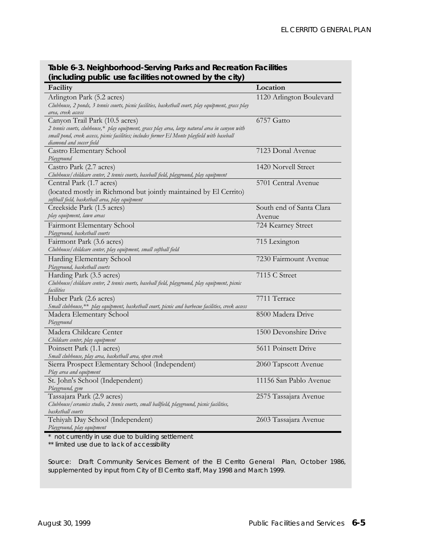**(including public use facilities not owned by the city) Facility Location** Arlington Park (5.2 acres) *Clubhouse, 2 ponds, 3 tennis courts, picnic facilities, basketball court, play equipment, grass play area, creek access* 1120 Arlington Boulevard Canyon Trail Park (10.5 acres) *2 tennis courts, clubhouse,\* play equipment, grass play area, large natural area in canyon with small pond, creek access, picnic facilities; includes former El Monte playfield with baseball diamond and soccer field* 6757 Gatto Castro Elementary School *Playground* 7123 Donal Avenue Castro Park (2.7 acres) *Clubhouse/childcare center, 2 tennis courts, baseball field, playground, play equipment* 1420 Norvell Street Central Park (1.7 acres) (located mostly in Richmond but jointly maintained by El Cerrito) *softball field, basketball area, play equipment* 5701 Central Avenue Creekside Park (1.5 acres) *play equipment, lawn areas* South end of Santa Clara Avenue Fairmont Elementary School *Playground, basketball courts*  724 Kearney Street Fairmont Park (3.6 acres) *Clubhouse/childcare center, play equipment, small softball field*  715 Lexington Harding Elementary School *Playground, basketball courts*  7230 Fairmount Avenue Harding Park (3.5 acres) *Clubhouse/childcare center, 2 tennis courts, baseball field, playground, play equipment, picnic facilities* 7115 C Street Huber Park (2.6 acres) *Small clubhouse,\*\* play equipment, basketball court, picnic and barbecue facilities, creek access* 7711 Terrace Madera Elementary School *Playground* 8500 Madera Drive Madera Childcare Center *Childcare center, play equipment*  1500 Devonshire Drive Poinsett Park (1.1 acres) *Small clubhouse, play area, basketball area, open creek*  5611 Poinsett Drive Sierra Prospect Elementary School (Independent) *Play area and equipment* 2060 Tapscott Avenue St. John's School (Independent) *Playground, gym* 11156 San Pablo Avenue Tassajara Park (2.9 acres) *Clubhouse/ceramics studio, 2 tennis courts, small ballfield, playground, picnic facilities, basketball courts* 2575 Tassajara Avenue Tehiyah Day School (Independent) *Playground, play equipment* 2603 Tassajara Avenue

**Table 6-3. Neighborhood-Serving Parks and Recreation Facilities** 

*\* not currently in use due to building settlement*

*\*\* limited use due to lack of accessibility*

*Source: Draft Community Services Element of the El Cerrito General Plan, October 1986, supplemented by input from City of El Cerrito staff, May 1998 and March 1999.*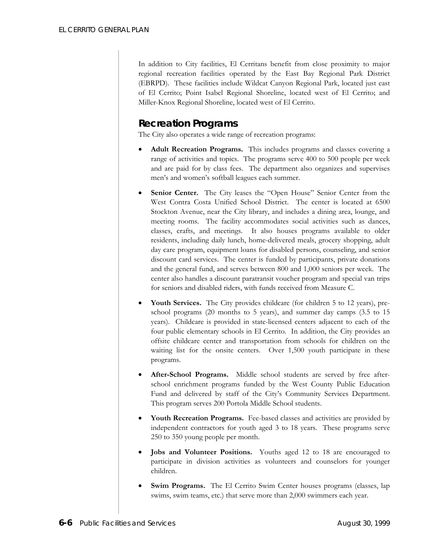In addition to City facilities, El Cerritans benefit from close proximity to major regional recreation facilities operated by the East Bay Regional Park District (EBRPD). These facilities include Wildcat Canyon Regional Park, located just east of El Cerrito; Point Isabel Regional Shoreline, located west of El Cerrito; and Miller-Knox Regional Shoreline, located west of El Cerrito.

### *Recreation Programs*

The City also operates a wide range of recreation programs:

- **Adult Recreation Programs.** This includes programs and classes covering a range of activities and topics. The programs serve 400 to 500 people per week and are paid for by class fees. The department also organizes and supervises men's and women's softball leagues each summer.
- **Senior Center.** The City leases the "Open House" Senior Center from the West Contra Costa Unified School District. The center is located at 6500 Stockton Avenue, near the City library, and includes a dining area, lounge, and meeting rooms. The facility accommodates social activities such as dances, classes, crafts, and meetings. It also houses programs available to older residents, including daily lunch, home-delivered meals, grocery shopping, adult day care program, equipment loans for disabled persons, counseling, and senior discount card services. The center is funded by participants, private donations and the general fund, and serves between 800 and 1,000 seniors per week. The center also handles a discount paratransit voucher program and special van trips for seniors and disabled riders, with funds received from Measure C.
- Youth Services. The City provides childcare (for children 5 to 12 years), preschool programs (20 months to 5 years), and summer day camps (3.5 to 15 years). Childcare is provided in state-licensed centers adjacent to each of the four public elementary schools in El Cerrito. In addition, the City provides an offsite childcare center and transportation from schools for children on the waiting list for the onsite centers. Over 1,500 youth participate in these programs.
- After-School Programs. Middle school students are served by free afterschool enrichment programs funded by the West County Public Education Fund and delivered by staff of the City's Community Services Department. This program serves 200 Portola Middle School students.
- **Youth Recreation Programs.** Fee-based classes and activities are provided by independent contractors for youth aged 3 to 18 years. These programs serve 250 to 350 young people per month.
- **Jobs and Volunteer Positions.** Youths aged 12 to 18 are encouraged to participate in division activities as volunteers and counselors for younger children.
- **Swim Programs.** The El Cerrito Swim Center houses programs (classes, lap swims, swim teams, etc.) that serve more than 2,000 swimmers each year.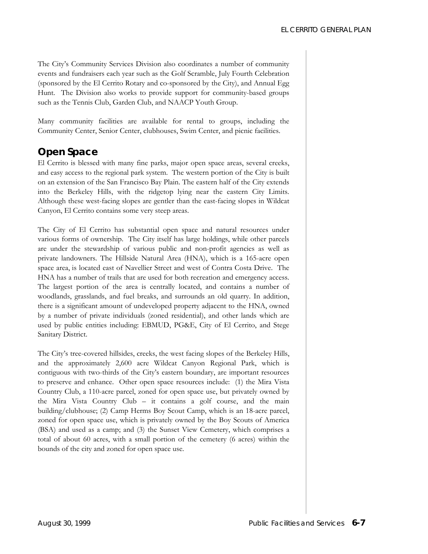The City's Community Services Division also coordinates a number of community events and fundraisers each year such as the Golf Scramble, July Fourth Celebration (sponsored by the El Cerrito Rotary and co-sponsored by the City), and Annual Egg Hunt. The Division also works to provide support for community-based groups such as the Tennis Club, Garden Club, and NAACP Youth Group.

Many community facilities are available for rental to groups, including the Community Center, Senior Center, clubhouses, Swim Center, and picnic facilities.

### *Open Space*

El Cerrito is blessed with many fine parks, major open space areas, several creeks, and easy access to the regional park system. The western portion of the City is built on an extension of the San Francisco Bay Plain. The eastern half of the City extends into the Berkeley Hills, with the ridgetop lying near the eastern City Limits. Although these west-facing slopes are gentler than the east-facing slopes in Wildcat Canyon, El Cerrito contains some very steep areas.

The City of El Cerrito has substantial open space and natural resources under various forms of ownership. The City itself has large holdings, while other parcels are under the stewardship of various public and non-profit agencies as well as private landowners. The Hillside Natural Area (HNA), which is a 165-acre open space area, is located east of Navellier Street and west of Contra Costa Drive. The HNA has a number of trails that are used for both recreation and emergency access. The largest portion of the area is centrally located, and contains a number of woodlands, grasslands, and fuel breaks, and surrounds an old quarry. In addition, there is a significant amount of undeveloped property adjacent to the HNA, owned by a number of private individuals (zoned residential), and other lands which are used by public entities including: EBMUD, PG&E, City of El Cerrito, and Stege Sanitary District.

The City's tree-covered hillsides, creeks, the west facing slopes of the Berkeley Hills, and the approximately 2,600 acre Wildcat Canyon Regional Park, which is contiguous with two-thirds of the City's eastern boundary, are important resources to preserve and enhance. Other open space resources include: (1) the Mira Vista Country Club, a 110-acre parcel, zoned for open space use, but privately owned by the Mira Vista Country Club – it contains a golf course, and the main building/clubhouse; (2) Camp Herms Boy Scout Camp, which is an 18-acre parcel, zoned for open space use, which is privately owned by the Boy Scouts of America (BSA) and used as a camp; and (3) the Sunset View Cemetery, which comprises a total of about 60 acres, with a small portion of the cemetery (6 acres) within the bounds of the city and zoned for open space use.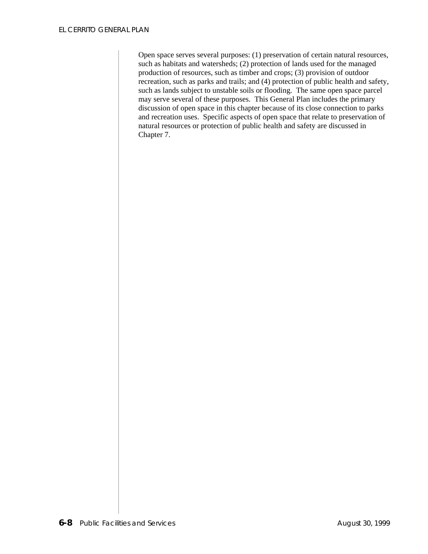Open space serves several purposes: (1) preservation of certain natural resources, such as habitats and watersheds; (2) protection of lands used for the managed production of resources, such as timber and crops; (3) provision of outdoor recreation, such as parks and trails; and (4) protection of public health and safety, such as lands subject to unstable soils or flooding. The same open space parcel may serve several of these purposes. This General Plan includes the primary discussion of open space in this chapter because of its close connection to parks and recreation uses. Specific aspects of open space that relate to preservation of natural resources or protection of public health and safety are discussed in Chapter 7.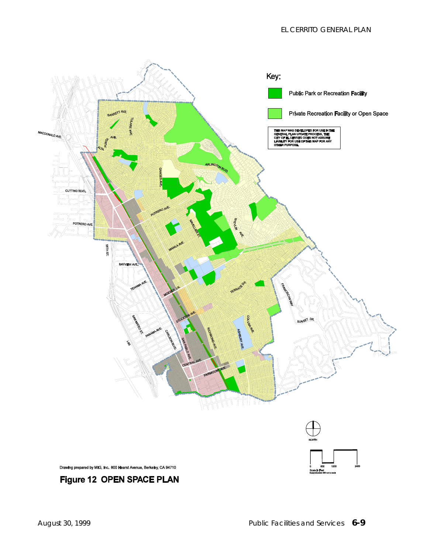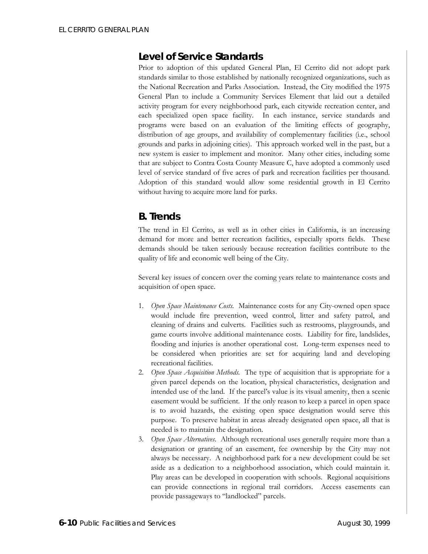### *Level of Service Standards*

Prior to adoption of this updated General Plan, El Cerrito did not adopt park standards similar to those established by nationally recognized organizations, such as the National Recreation and Parks Association. Instead, the City modified the 1975 General Plan to include a Community Services Element that laid out a detailed activity program for every neighborhood park, each citywide recreation center, and each specialized open space facility. In each instance, service standards and programs were based on an evaluation of the limiting effects of geography, distribution of age groups, and availability of complementary facilities (i.e., school grounds and parks in adjoining cities). This approach worked well in the past, but a new system is easier to implement and monitor. Many other cities, including some that are subject to Contra Costa County Measure C, have adopted a commonly used level of service standard of five acres of park and recreation facilities per thousand. Adoption of this standard would allow some residential growth in El Cerrito without having to acquire more land for parks.

### **B. Trends**

The trend in El Cerrito, as well as in other cities in California, is an increasing demand for more and better recreation facilities, especially sports fields. These demands should be taken seriously because recreation facilities contribute to the quality of life and economic well being of the City.

Several key issues of concern over the coming years relate to maintenance costs and acquisition of open space.

- 1. *Open Space Maintenance Costs.* Maintenance costs for any City-owned open space would include fire prevention, weed control, litter and safety patrol, and cleaning of drains and culverts. Facilities such as restrooms, playgrounds, and game courts involve additional maintenance costs. Liability for fire, landslides, flooding and injuries is another operational cost. Long-term expenses need to be considered when priorities are set for acquiring land and developing recreational facilities.
- 2. *Open Space Acquisition Methods.* The type of acquisition that is appropriate for a given parcel depends on the location, physical characteristics, designation and intended use of the land. If the parcel's value is its visual amenity, then a scenic easement would be sufficient. If the only reason to keep a parcel in open space is to avoid hazards, the existing open space designation would serve this purpose. To preserve habitat in areas already designated open space, all that is needed is to maintain the designation.
- 3. *Open Space Alternatives*. Although recreational uses generally require more than a designation or granting of an easement, fee ownership by the City may not always be necessary. A neighborhood park for a new development could be set aside as a dedication to a neighborhood association, which could maintain it. Play areas can be developed in cooperation with schools. Regional acquisitions can provide connections in regional trail corridors. Access easements can provide passageways to "landlocked" parcels.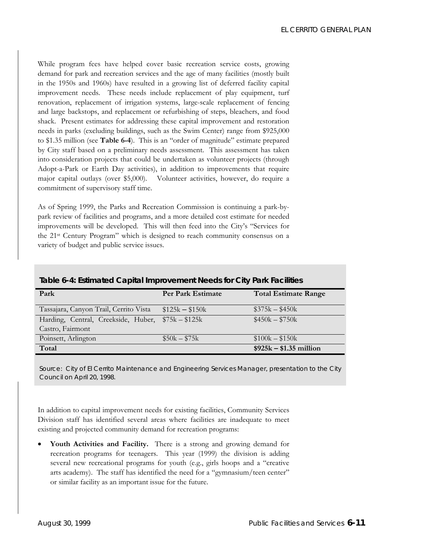While program fees have helped cover basic recreation service costs, growing demand for park and recreation services and the age of many facilities (mostly built in the 1950s and 1960s) have resulted in a growing list of deferred facility capital improvement needs. These needs include replacement of play equipment, turf renovation, replacement of irrigation systems, large-scale replacement of fencing and large backstops, and replacement or refurbishing of steps, bleachers, and food shack. Present estimates for addressing these capital improvement and restoration needs in parks (excluding buildings, such as the Swim Center) range from \$925,000 to \$1.35 million (see **Table 6-4**). This is an "order of magnitude" estimate prepared by City staff based on a preliminary needs assessment. This assessment has taken into consideration projects that could be undertaken as volunteer projects (through Adopt-a-Park or Earth Day activities), in addition to improvements that require major capital outlays (over \$5,000). Volunteer activities, however, do require a commitment of supervisory staff time.

As of Spring 1999, the Parks and Recreation Commission is continuing a park-bypark review of facilities and programs, and a more detailed cost estimate for needed improvements will be developed. This will then feed into the City's "Services for the 21st Century Program" which is designed to reach community consensus on a variety of budget and public service issues.

| Table 0-4. Estimated Capital improvement needs for City Fark Facilities |                          |                             |  |  |
|-------------------------------------------------------------------------|--------------------------|-----------------------------|--|--|
| Park                                                                    | <b>Per Park Estimate</b> | <b>Total Estimate Range</b> |  |  |
|                                                                         |                          |                             |  |  |
| Tassajara, Canyon Trail, Cerrito Vista                                  | $$125k - $150k$          | $$375k - $450k$             |  |  |
| Harding, Central, Creekside, Huber, \$75k - \$125k                      |                          | $$450k - $750k$             |  |  |
| Castro, Fairmont                                                        |                          |                             |  |  |
| Poinsett, Arlington                                                     | $$50k - $75k$            | $$100k - $150k$             |  |  |
| Total                                                                   |                          | $$925k - $1.35$ million     |  |  |

**Table 6-4: Estimated Capital Improvement Needs for City Park Facilities** 

Source: City of El Cerrito Maintenance and Engineering Services Manager, presentation to the City *Council on April 20, 1998.* 

In addition to capital improvement needs for existing facilities, Community Services Division staff has identified several areas where facilities are inadequate to meet existing and projected community demand for recreation programs:

• **Youth Activities and Facility.** There is a strong and growing demand for recreation programs for teenagers. This year (1999) the division is adding several new recreational programs for youth (e.g., girls hoops and a "creative arts academy). The staff has identified the need for a "gymnasium/teen center" or similar facility as an important issue for the future.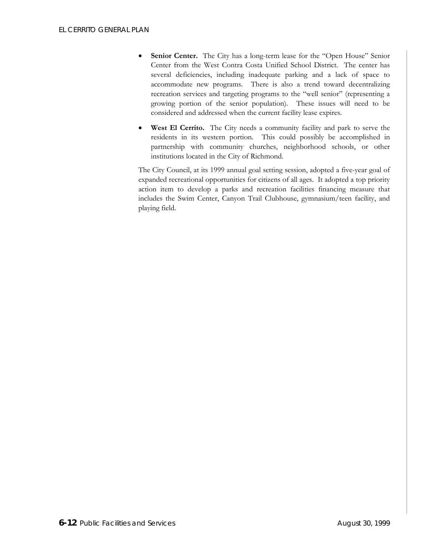- **Senior Center.** The City has a long-term lease for the "Open House" Senior Center from the West Contra Costa Unified School District. The center has several deficiencies, including inadequate parking and a lack of space to accommodate new programs. There is also a trend toward decentralizing recreation services and targeting programs to the "well senior" (representing a growing portion of the senior population). These issues will need to be considered and addressed when the current facility lease expires.
- West El Cerrito. The City needs a community facility and park to serve the residents in its western portion. This could possibly be accomplished in partnership with community churches, neighborhood schools, or other institutions located in the City of Richmond.

The City Council, at its 1999 annual goal setting session, adopted a five-year goal of expanded recreational opportunities for citizens of all ages. It adopted a top priority action item to develop a parks and recreation facilities financing measure that includes the Swim Center, Canyon Trail Clubhouse, gymnasium/teen facility, and playing field.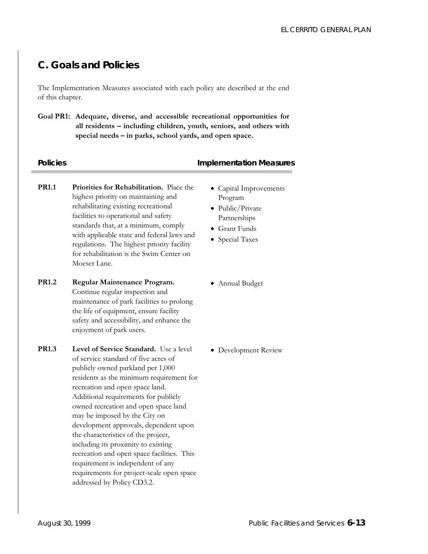# **C. Goals and Policies**

The Implementation Measures associated with each policy are described at the end of this chapter.

**Goal PR1: Adequate, diverse, and accessible recreational opportunities for all residents – including children, youth, seniors, and others with special needs – in parks, school yards, and open space.** 

### **Policies Policies Policies Policies Policies Policies Policies Policies Policies Policies Policies Policies Policies Policies Policies Policies Policies Policies Policies Policies P**

- **PR1.1 Priorities for Rehabilitation.** Place the highest priority on maintaining and rehabilitating existing recreational facilities to operational and safety standards that, at a minimum, comply with applicable state and federal laws and regulations. The highest priority facility for rehabilitation is the Swim Center on Moeser Lane.
- **PR1.2 Regular Maintenance Program.**  Continue regular inspection and maintenance of park facilities to prolong the life of equipment, ensure facility safety and accessibility, and enhance the enjoyment of park users.
- **PR1.3** Level of Service Standard. Use a level of service standard of five acres of publicly owned parkland per 1,000 residents as the minimum requirement for recreation and open space land. Additional requirements for publicly owned recreation and open space land may be imposed by the City on development approvals, dependent upon the characteristics of the project, including its proximity to existing recreation and open space facilities. This requirement is independent of any requirements for project-scale open space addressed by Policy CD3.2.
- Capital Improvements Program
- Public/Private Partnerships
- Grant Funds
- Special Taxes
- Annual Budget

• Development Review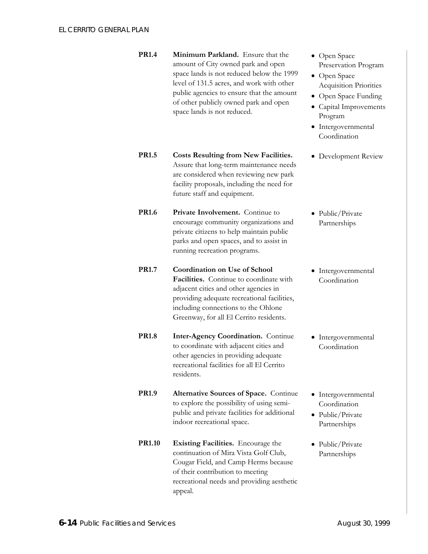- **PR1.4 Minimum Parkland.** Ensure that the amount of City owned park and open space lands is not reduced below the 1999 level of 131.5 acres, and work with other public agencies to ensure that the amount of other publicly owned park and open space lands is not reduced.
- **PR1.5 Costs Resulting from New Facilities.**  Assure that long-term maintenance needs are considered when reviewing new park facility proposals, including the need for future staff and equipment.
- **PR1.6** Private Involvement. Continue to encourage community organizations and private citizens to help maintain public parks and open spaces, and to assist in running recreation programs.
- **PR1.7 Coordination on Use of School Facilities.** Continue to coordinate with adjacent cities and other agencies in providing adequate recreational facilities, including connections to the Ohlone Greenway, for all El Cerrito residents.
- **PR1.8** Inter-Agency Coordination. Continue to coordinate with adjacent cities and other agencies in providing adequate recreational facilities for all El Cerrito residents.
- **PR1.9** Alternative Sources of Space. Continue to explore the possibility of using semipublic and private facilities for additional indoor recreational space.
- **PR1.10** Existing Facilities. Encourage the continuation of Mira Vista Golf Club, Cougar Field, and Camp Herms because of their contribution to meeting recreational needs and providing aesthetic appeal.
- Open Space Preservation Program
- Open Space Acquisition Priorities
- Open Space Funding
- Capital Improvements Program
- Intergovernmental Coordination
- Development Review
- Public/Private Partnerships
- Intergovernmental Coordination
- Intergovernmental Coordination
- Intergovernmental Coordination
- Public/Private Partnerships
- Public/Private Partnerships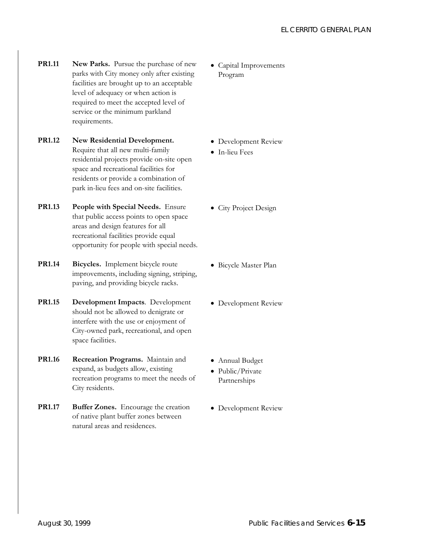**PR1.11** New Parks. Pursue the purchase of new parks with City money only after existing facilities are brought up to an acceptable level of adequacy or when action is required to meet the accepted level of service or the minimum parkland requirements.

### **PR1.12 New Residential Development.**  Require that all new multi-family residential projects provide on-site open space and recreational facilities for residents or provide a combination of park in-lieu fees and on-site facilities.

**PR1.13 People with Special Needs.** Ensure that public access points to open space areas and design features for all recreational facilities provide equal opportunity for people with special needs.

**PR1.14 Bicycles.** Implement bicycle route improvements, including signing, striping, paving, and providing bicycle racks.

- **PR1.15 Development Impacts**. Development should not be allowed to denigrate or interfere with the use or enjoyment of City-owned park, recreational, and open space facilities.
- **PR1.16 Recreation Programs.** Maintain and expand, as budgets allow, existing recreation programs to meet the needs of City residents.
- **PR1.17** Buffer Zones. Encourage the creation of native plant buffer zones between natural areas and residences.

• Capital Improvements Program

- Development Review
- In-lieu Fees
- City Project Design
- Bicycle Master Plan
- Development Review
- Annual Budget
- Public/Private Partnerships
- Development Review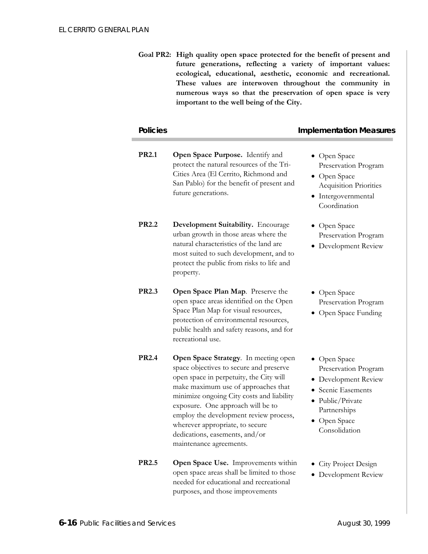**Goal PR2: High quality open space protected for the benefit of present and future generations, reflecting a variety of important values: ecological, educational, aesthetic, economic and recreational. These values are interwoven throughout the community in numerous ways so that the preservation of open space is very important to the well being of the City.**

| <b>Policies</b> |                                                                                                                                                                                                                                                                                                                                                                                               | <b>Implementation Measures</b>                                                                                                                          |
|-----------------|-----------------------------------------------------------------------------------------------------------------------------------------------------------------------------------------------------------------------------------------------------------------------------------------------------------------------------------------------------------------------------------------------|---------------------------------------------------------------------------------------------------------------------------------------------------------|
| <b>PR2.1</b>    | Open Space Purpose. Identify and<br>protect the natural resources of the Tri-<br>Cities Area (El Cerrito, Richmond and<br>San Pablo) for the benefit of present and<br>future generations.                                                                                                                                                                                                    | • Open Space<br>Preservation Program<br>• Open Space<br><b>Acquisition Priorities</b><br>· Intergovernmental<br>Coordination                            |
| <b>PR2.2</b>    | Development Suitability. Encourage<br>urban growth in those areas where the<br>natural characteristics of the land are<br>most suited to such development, and to<br>protect the public from risks to life and<br>property.                                                                                                                                                                   | • Open Space<br>Preservation Program<br>• Development Review                                                                                            |
| <b>PR2.3</b>    | Open Space Plan Map. Preserve the<br>open space areas identified on the Open<br>Space Plan Map for visual resources,<br>protection of environmental resources,<br>public health and safety reasons, and for<br>recreational use.                                                                                                                                                              | • Open Space<br>Preservation Program<br>• Open Space Funding                                                                                            |
| <b>PR2.4</b>    | Open Space Strategy. In meeting open<br>space objectives to secure and preserve<br>open space in perpetuity, the City will<br>make maximum use of approaches that<br>minimize ongoing City costs and liability<br>exposure. One approach will be to<br>employ the development review process,<br>wherever appropriate, to secure<br>dedications, easements, and/or<br>maintenance agreements. | • Open Space<br>Preservation Program<br>• Development Review<br>• Scenic Easements<br>• Public/Private<br>Partnerships<br>• Open Space<br>Consolidation |
| <b>PR2.5</b>    | Open Space Use. Improvements within<br>open space areas shall be limited to those<br>needed for educational and recreational                                                                                                                                                                                                                                                                  | • City Project Design<br>• Development Review                                                                                                           |

purposes, and those improvements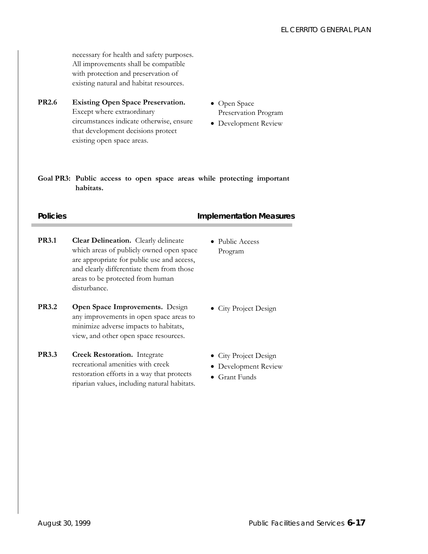necessary for health and safety purposes. All improvements shall be compatible with protection and preservation of existing natural and habitat resources.

- **PR2.6 Existing Open Space Preservation.**  Except where extraordinary circumstances indicate otherwise, ensure that development decisions protect existing open space areas.
- Open Space Preservation Program
- Development Review

**Goal PR3: Public access to open space areas while protecting important habitats.** 

### **Policies Policies Policies Policies Policies Policies Policies Policies Policies Policies Policies**

- **PR3.1** Clear Delineation. Clearly delineate which areas of publicly owned open space are appropriate for public use and access, and clearly differentiate them from those areas to be protected from human disturbance.
- **PR3.2 Open Space Improvements.** Design any improvements in open space areas to minimize adverse impacts to habitats, view, and other open space resources.
- **PR3.3 Creek Restoration.** Integrate recreational amenities with creek restoration efforts in a way that protects riparian values, including natural habitats.
- Public Access Program
- City Project Design
- City Project Design
- Development Review
- Grant Funds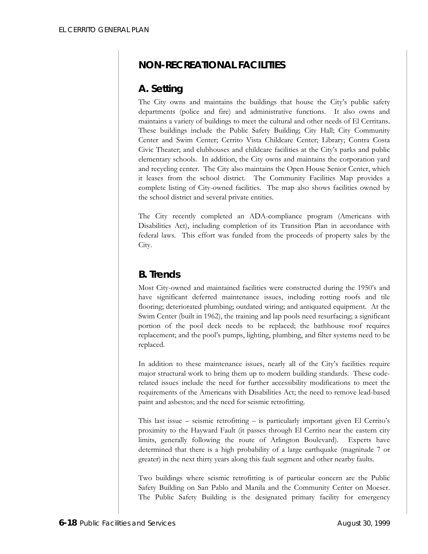## **NON-RECREATIONAL FACILITIES**

## **A. Setting**

The City owns and maintains the buildings that house the City's public safety departments (police and fire) and administrative functions. It also owns and maintains a variety of buildings to meet the cultural and other needs of El Cerritans. These buildings include the Public Safety Building; City Hall; City Community Center and Swim Center; Cerrito Vista Childcare Center; Library; Contra Costa Civic Theater; and clubhouses and childcare facilities at the City's parks and public elementary schools. In addition, the City owns and maintains the corporation yard and recycling center. The City also maintains the Open House Senior Center, which it leases from the school district. The Community Facilities Map provides a complete listing of City-owned facilities. The map also shows facilities owned by the school district and several private entities.

The City recently completed an ADA-compliance program (Americans with Disabilities Act), including completion of its Transition Plan in accordance with federal laws. This effort was funded from the proceeds of property sales by the City.

### **B. Trends**

Most City-owned and maintained facilities were constructed during the 1950's and have significant deferred maintenance issues, including rotting roofs and tile flooring; deteriorated plumbing; outdated wiring; and antiquated equipment. At the Swim Center (built in 1962), the training and lap pools need resurfacing; a significant portion of the pool deck needs to be replaced; the bathhouse roof requires replacement; and the pool's pumps, lighting, plumbing, and filter systems need to be replaced.

In addition to these maintenance issues, nearly all of the City's facilities require major structural work to bring them up to modern building standards. These coderelated issues include the need for further accessibility modifications to meet the requirements of the Americans with Disabilities Act; the need to remove lead-based paint and asbestos; and the need for seismic retrofitting.

This last issue – seismic retrofitting – is particularly important given El Cerrito's proximity to the Hayward Fault (it passes through El Cerrito near the eastern city limits, generally following the route of Arlington Boulevard). Experts have determined that there is a high probability of a large earthquake (magnitude 7 or greater) in the next thirty years along this fault segment and other nearby faults.

Two buildings where seismic retrofitting is of particular concern are the Public Safety Building on San Pablo and Manila and the Community Center on Moeser. The Public Safety Building is the designated primary facility for emergency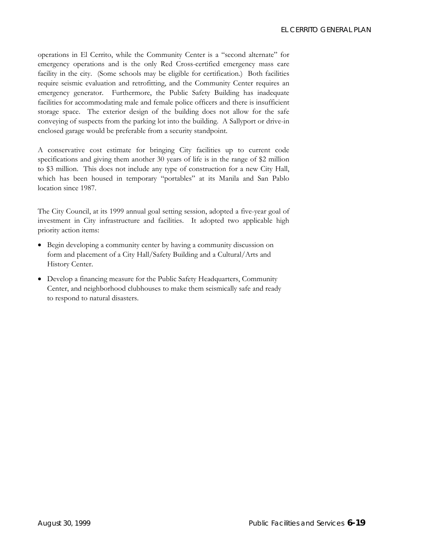operations in El Cerrito, while the Community Center is a "second alternate" for emergency operations and is the only Red Cross-certified emergency mass care facility in the city. (Some schools may be eligible for certification.) Both facilities require seismic evaluation and retrofitting, and the Community Center requires an emergency generator. Furthermore, the Public Safety Building has inadequate facilities for accommodating male and female police officers and there is insufficient storage space. The exterior design of the building does not allow for the safe conveying of suspects from the parking lot into the building. A Sallyport or drive-in enclosed garage would be preferable from a security standpoint.

A conservative cost estimate for bringing City facilities up to current code specifications and giving them another 30 years of life is in the range of \$2 million to \$3 million. This does not include any type of construction for a new City Hall, which has been housed in temporary "portables" at its Manila and San Pablo location since 1987.

The City Council, at its 1999 annual goal setting session, adopted a five-year goal of investment in City infrastructure and facilities. It adopted two applicable high priority action items:

- Begin developing a community center by having a community discussion on form and placement of a City Hall/Safety Building and a Cultural/Arts and History Center.
- Develop a financing measure for the Public Safety Headquarters, Community Center, and neighborhood clubhouses to make them seismically safe and ready to respond to natural disasters.